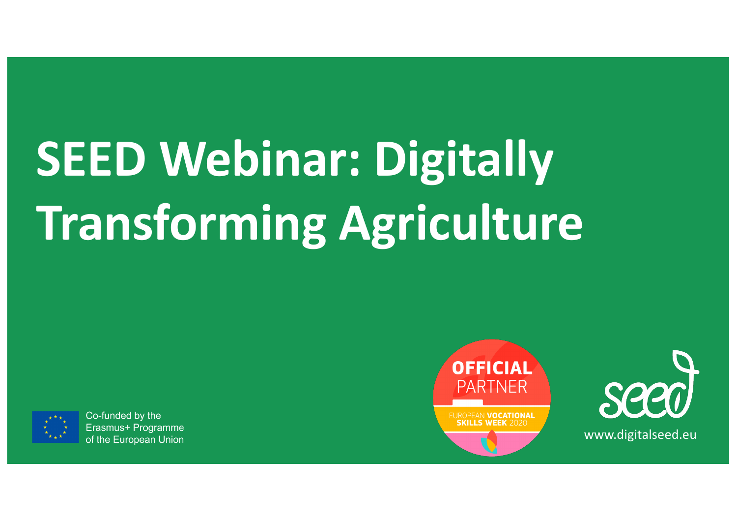# **SEED Webinar: Digitally Transforming Agriculture**



Co-funded by the Erasmus+ Programme of the European Union



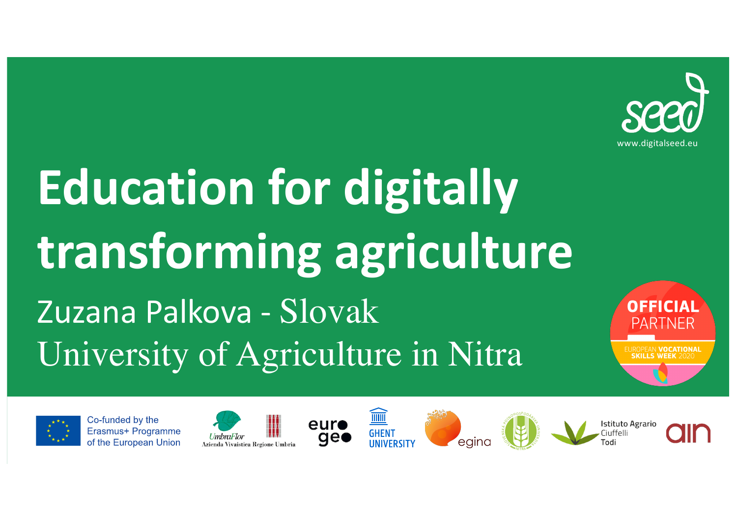

### **Education for digitally transforming agriculture** Zuzana Palkova - Slovak University of Agriculture in Nitra



Co-funded by the Erasmus+ Programme of the European Union











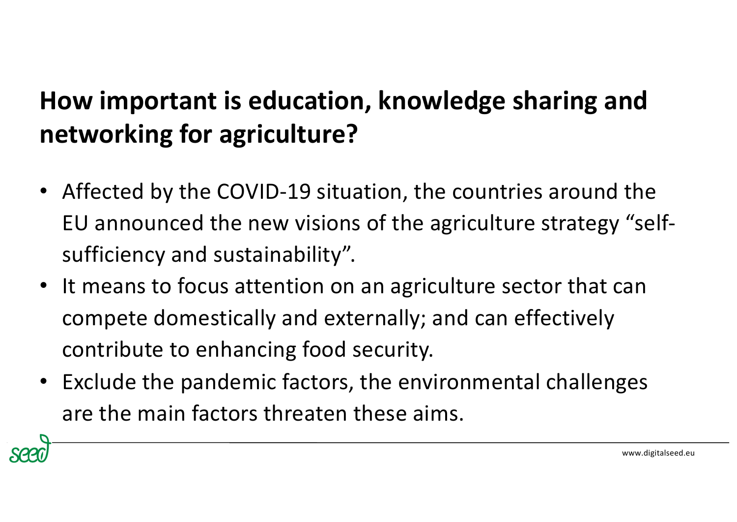- Affected by the COVID-19 situation, the countries around the EU announced the new visions of the agriculture strategy "selfsufficiency and sustainability".
- It means to focus attention on an agriculture sector that can compete domestically and externally; and can effectively contribute to enhancing food security.
- Exclude the pandemic factors, the environmental challenges are the main factors threaten these aims.

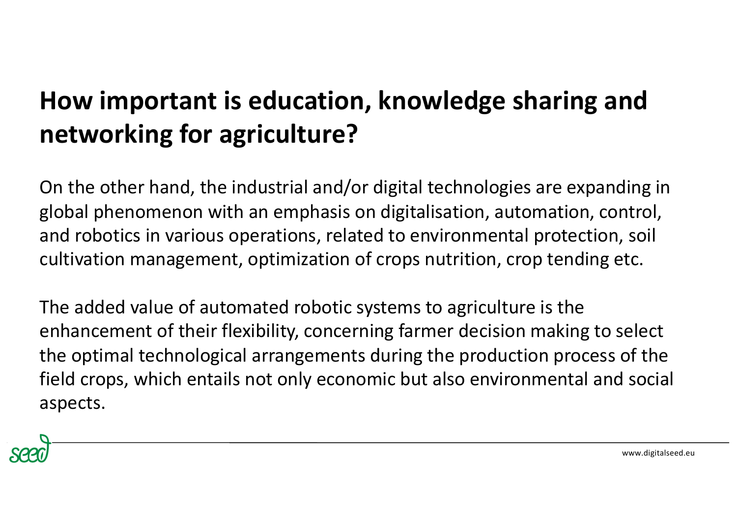On the other hand, the industrial and/or digital technologies are expanding in global phenomenon with an emphasis on digitalisation, automation, control, and robotics in various operations, related to environmental protection, soil cultivation management, optimization of crops nutrition, crop tending etc.

The added value of automated robotic systems to agriculture is the enhancement of their flexibility, concerning farmer decision making to select the optimal technological arrangements during the production process of the field crops, which entails not only economic but also environmental and social aspects.

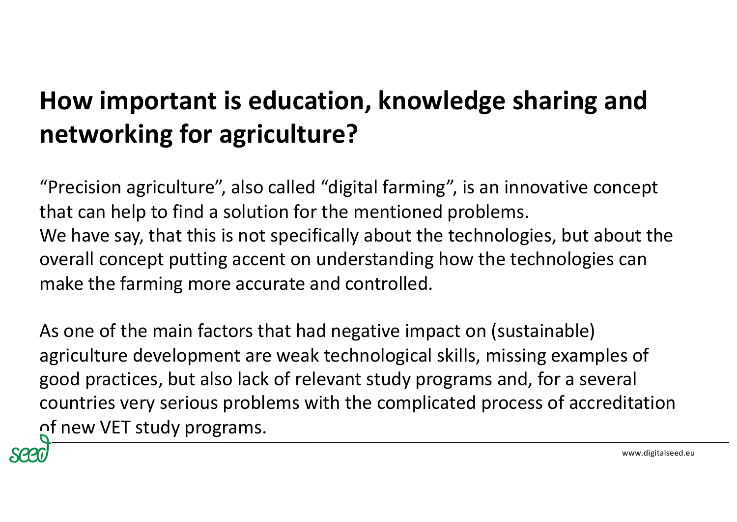"Precision agriculture", also called "digital farming", is an innovative concept that can help to find a solution for the mentioned problems. We have say, that this is not specifically about the technologies, but about the overall concept putting accent on understanding how the technologies can make the farming more accurate and controlled.

As one of the main factors that had negative impact on (sustainable) agriculture development are weak technological skills, missing examples of good practices, but also lack of relevant study programs and, for a several countries very serious problems with the complicated process of accreditation of new VET study programs.

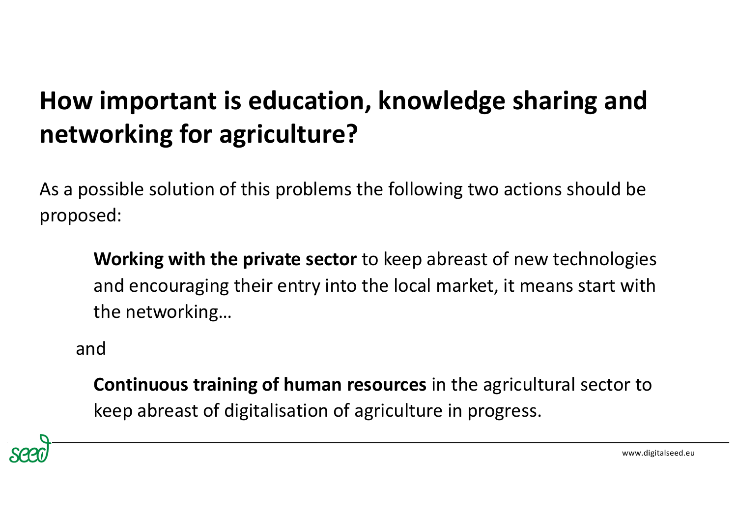As a possible solution of this problems the following two actions should be proposed:

**Working with the private sector** to keep abreast of new technologies and encouraging their entry into the local market, it means start with the networking…

and

**Continuous training of human resources** in the agricultural sector to keep abreast of digitalisation of agriculture in progress.

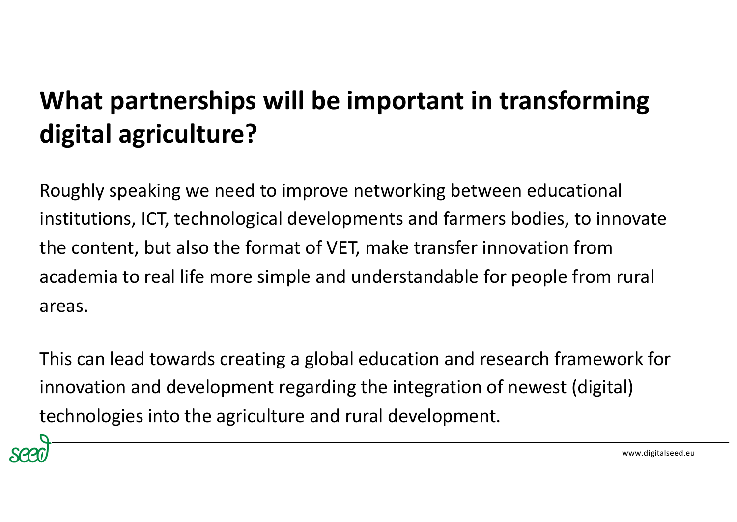#### **What partnerships will be important in transforming digital agriculture?**

Roughly speaking we need to improve networking between educational institutions, ICT, technological developments and farmers bodies, to innovate the content, but also the format of VET, make transfer innovation from academia to real life more simple and understandable for people from rural areas.

This can lead towards creating a global education and research framework for innovation and development regarding the integration of newest (digital) technologies into the agriculture and rural development.

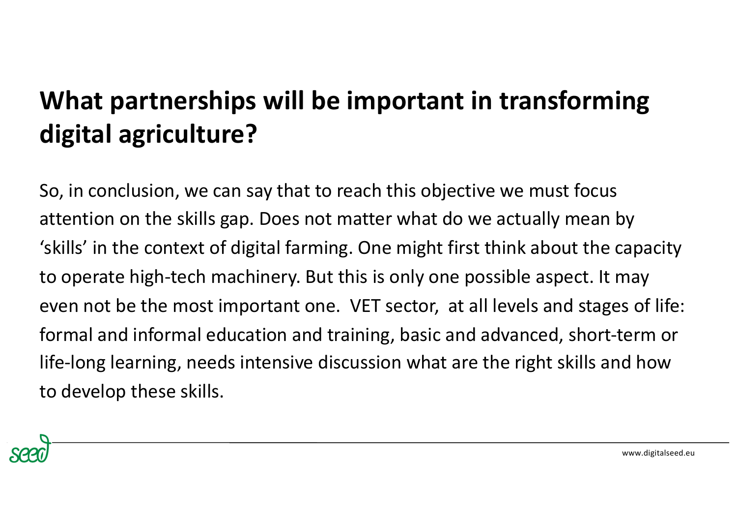#### **What partnerships will be important in transforming digital agriculture?**

So, in conclusion, we can say that to reach this objective we must focus attention on the skills gap. Does not matter what do we actually mean by 'skills' in the context of digital farming. One might first think about the capacity to operate high-tech machinery. But this is only one possible aspect. It may even not be the most important one. VET sector, at all levels and stages of life: formal and informal education and training, basic and advanced, short-term or life-long learning, needs intensive discussion what are the right skills and how to develop these skills.

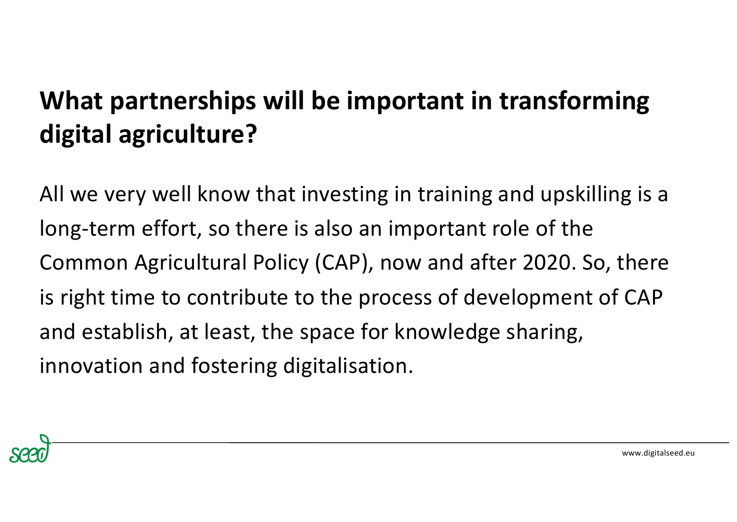#### **What partnerships will be important in transforming digital agriculture?**

All we very well know that investing in training and upskilling is a long-term effort, so there is also an important role of the Common Agricultural Policy (CAP), now and after 2020. So, there is right time to contribute to the process of development of CAP and establish, at least, the space for knowledge sharing, innovation and fostering digitalisation.